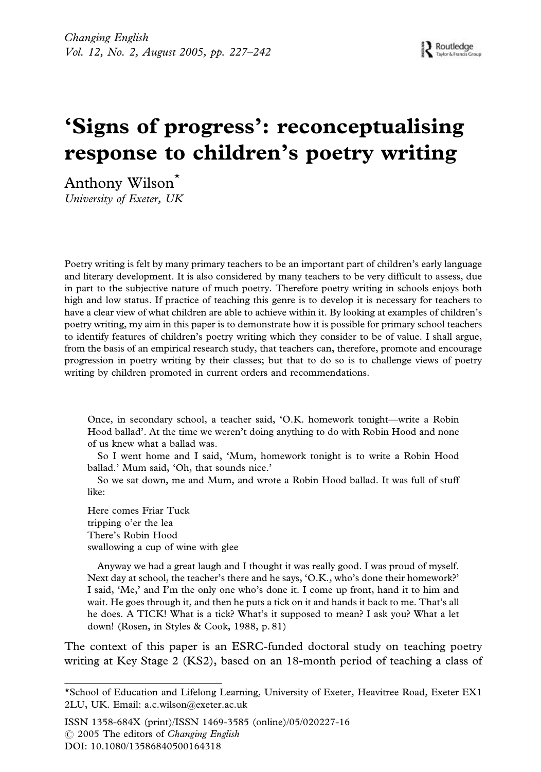# 'Signs of progress': reconceptualising response to children's poetry writing

Anthony Wilson\* University of Exeter, UK

Poetry writing is felt by many primary teachers to be an important part of children's early language and literary development. It is also considered by many teachers to be very difficult to assess, due in part to the subjective nature of much poetry. Therefore poetry writing in schools enjoys both high and low status. If practice of teaching this genre is to develop it is necessary for teachers to have a clear view of what children are able to achieve within it. By looking at examples of children's poetry writing, my aim in this paper is to demonstrate how it is possible for primary school teachers to identify features of children's poetry writing which they consider to be of value. I shall argue, from the basis of an empirical research study, that teachers can, therefore, promote and encourage progression in poetry writing by their classes; but that to do so is to challenge views of poetry writing by children promoted in current orders and recommendations.

Once, in secondary school, a teacher said, 'O.K. homework tonight—write a Robin Hood ballad'. At the time we weren't doing anything to do with Robin Hood and none of us knew what a ballad was.

So I went home and I said, 'Mum, homework tonight is to write a Robin Hood ballad.' Mum said, 'Oh, that sounds nice.'

So we sat down, me and Mum, and wrote a Robin Hood ballad. It was full of stuff like:

Here comes Friar Tuck tripping o'er the lea There's Robin Hood swallowing a cup of wine with glee

Anyway we had a great laugh and I thought it was really good. I was proud of myself. Next day at school, the teacher's there and he says, 'O.K., who's done their homework?' I said, 'Me,' and I'm the only one who's done it. I come up front, hand it to him and wait. He goes through it, and then he puts a tick on it and hands it back to me. That's all he does. A TICK! What is a tick? What's it supposed to mean? I ask you? What a let down! (Rosen, in Styles & Cook, 1988, p. 81)

The context of this paper is an ESRC-funded doctoral study on teaching poetry writing at Key Stage 2 (KS2), based on an 18-month period of teaching a class of

<sup>\*</sup>School of Education and Lifelong Learning, University of Exeter, Heavitree Road, Exeter EX1 2LU, UK. Email: a.c.wilson@exeter.ac.uk

ISSN 1358-684X (print)/ISSN 1469-3585 (online)/05/020227-16  $O$  2005 The editors of Changing English DOI: 10.1080/13586840500164318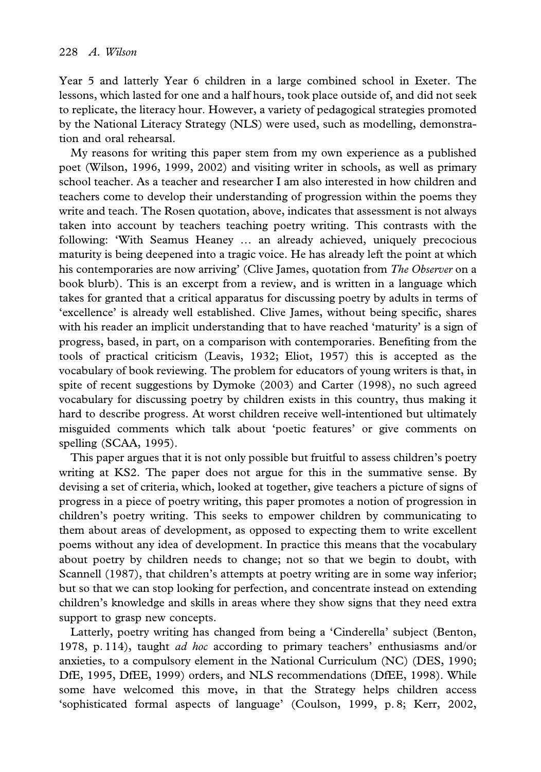Year 5 and latterly Year 6 children in a large combined school in Exeter. The lessons, which lasted for one and a half hours, took place outside of, and did not seek to replicate, the literacy hour. However, a variety of pedagogical strategies promoted by the National Literacy Strategy (NLS) were used, such as modelling, demonstration and oral rehearsal.

My reasons for writing this paper stem from my own experience as a published poet (Wilson, 1996, 1999, 2002) and visiting writer in schools, as well as primary school teacher. As a teacher and researcher I am also interested in how children and teachers come to develop their understanding of progression within the poems they write and teach. The Rosen quotation, above, indicates that assessment is not always taken into account by teachers teaching poetry writing. This contrasts with the following: 'With Seamus Heaney … an already achieved, uniquely precocious maturity is being deepened into a tragic voice. He has already left the point at which his contemporaries are now arriving' (Clive James, quotation from The Observer on a book blurb). This is an excerpt from a review, and is written in a language which takes for granted that a critical apparatus for discussing poetry by adults in terms of 'excellence' is already well established. Clive James, without being specific, shares with his reader an implicit understanding that to have reached 'maturity' is a sign of progress, based, in part, on a comparison with contemporaries. Benefiting from the tools of practical criticism (Leavis, 1932; Eliot, 1957) this is accepted as the vocabulary of book reviewing. The problem for educators of young writers is that, in spite of recent suggestions by Dymoke (2003) and Carter (1998), no such agreed vocabulary for discussing poetry by children exists in this country, thus making it hard to describe progress. At worst children receive well-intentioned but ultimately misguided comments which talk about 'poetic features' or give comments on spelling (SCAA, 1995).

This paper argues that it is not only possible but fruitful to assess children's poetry writing at KS2. The paper does not argue for this in the summative sense. By devising a set of criteria, which, looked at together, give teachers a picture of signs of progress in a piece of poetry writing, this paper promotes a notion of progression in children's poetry writing. This seeks to empower children by communicating to them about areas of development, as opposed to expecting them to write excellent poems without any idea of development. In practice this means that the vocabulary about poetry by children needs to change; not so that we begin to doubt, with Scannell (1987), that children's attempts at poetry writing are in some way inferior; but so that we can stop looking for perfection, and concentrate instead on extending children's knowledge and skills in areas where they show signs that they need extra support to grasp new concepts.

Latterly, poetry writing has changed from being a 'Cinderella' subject (Benton, 1978, p. 114), taught ad hoc according to primary teachers' enthusiasms and/or anxieties, to a compulsory element in the National Curriculum (NC) (DES, 1990; DfE, 1995, DfEE, 1999) orders, and NLS recommendations (DfEE, 1998). While some have welcomed this move, in that the Strategy helps children access 'sophisticated formal aspects of language' (Coulson, 1999, p. 8; Kerr, 2002,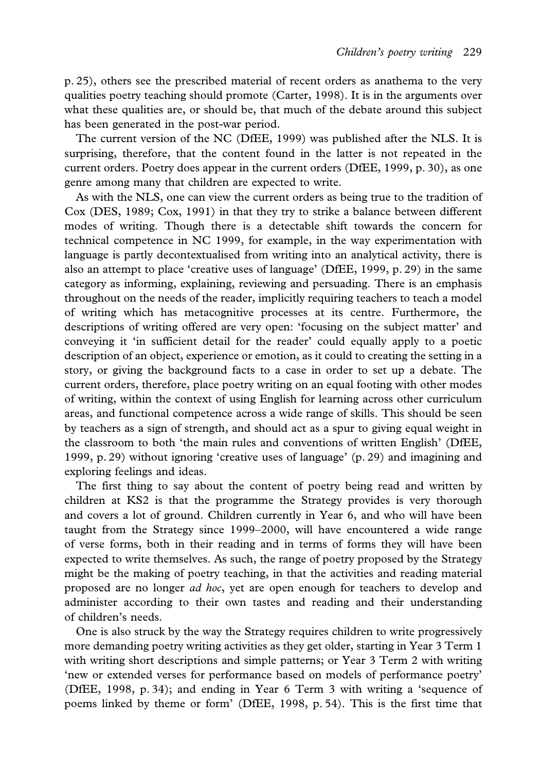p. 25), others see the prescribed material of recent orders as anathema to the very qualities poetry teaching should promote (Carter, 1998). It is in the arguments over what these qualities are, or should be, that much of the debate around this subject has been generated in the post-war period.

The current version of the NC (DfEE, 1999) was published after the NLS. It is surprising, therefore, that the content found in the latter is not repeated in the current orders. Poetry does appear in the current orders (DfEE, 1999, p. 30), as one genre among many that children are expected to write.

As with the NLS, one can view the current orders as being true to the tradition of Cox (DES, 1989; Cox, 1991) in that they try to strike a balance between different modes of writing. Though there is a detectable shift towards the concern for technical competence in NC 1999, for example, in the way experimentation with language is partly decontextualised from writing into an analytical activity, there is also an attempt to place 'creative uses of language' (DfEE, 1999, p. 29) in the same category as informing, explaining, reviewing and persuading. There is an emphasis throughout on the needs of the reader, implicitly requiring teachers to teach a model of writing which has metacognitive processes at its centre. Furthermore, the descriptions of writing offered are very open: 'focusing on the subject matter' and conveying it 'in sufficient detail for the reader' could equally apply to a poetic description of an object, experience or emotion, as it could to creating the setting in a story, or giving the background facts to a case in order to set up a debate. The current orders, therefore, place poetry writing on an equal footing with other modes of writing, within the context of using English for learning across other curriculum areas, and functional competence across a wide range of skills. This should be seen by teachers as a sign of strength, and should act as a spur to giving equal weight in the classroom to both 'the main rules and conventions of written English' (DfEE, 1999, p. 29) without ignoring 'creative uses of language' (p. 29) and imagining and exploring feelings and ideas.

The first thing to say about the content of poetry being read and written by children at KS2 is that the programme the Strategy provides is very thorough and covers a lot of ground. Children currently in Year 6, and who will have been taught from the Strategy since 1999–2000, will have encountered a wide range of verse forms, both in their reading and in terms of forms they will have been expected to write themselves. As such, the range of poetry proposed by the Strategy might be the making of poetry teaching, in that the activities and reading material proposed are no longer ad hoc, yet are open enough for teachers to develop and administer according to their own tastes and reading and their understanding of children's needs.

One is also struck by the way the Strategy requires children to write progressively more demanding poetry writing activities as they get older, starting in Year 3 Term 1 with writing short descriptions and simple patterns; or Year 3 Term 2 with writing 'new or extended verses for performance based on models of performance poetry' (DfEE, 1998, p. 34); and ending in Year 6 Term 3 with writing a 'sequence of poems linked by theme or form' (DfEE, 1998, p. 54). This is the first time that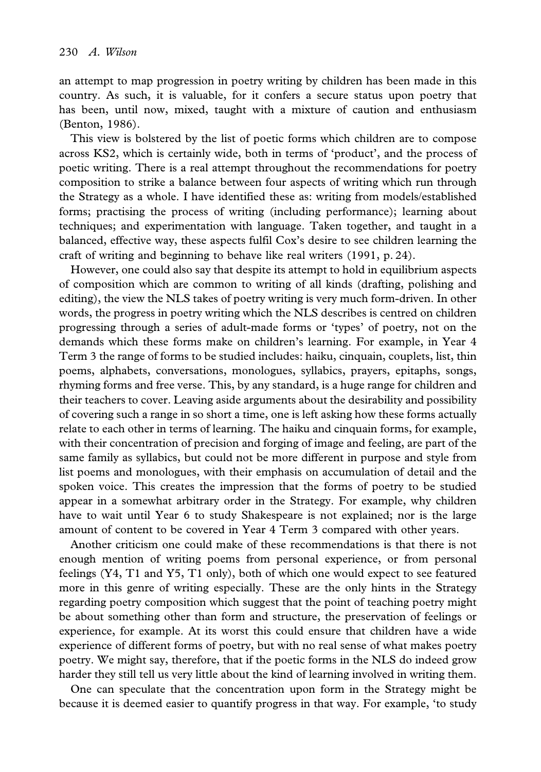an attempt to map progression in poetry writing by children has been made in this country. As such, it is valuable, for it confers a secure status upon poetry that has been, until now, mixed, taught with a mixture of caution and enthusiasm (Benton, 1986).

This view is bolstered by the list of poetic forms which children are to compose across KS2, which is certainly wide, both in terms of 'product', and the process of poetic writing. There is a real attempt throughout the recommendations for poetry composition to strike a balance between four aspects of writing which run through the Strategy as a whole. I have identified these as: writing from models/established forms; practising the process of writing (including performance); learning about techniques; and experimentation with language. Taken together, and taught in a balanced, effective way, these aspects fulfil Cox's desire to see children learning the craft of writing and beginning to behave like real writers (1991, p. 24).

However, one could also say that despite its attempt to hold in equilibrium aspects of composition which are common to writing of all kinds (drafting, polishing and editing), the view the NLS takes of poetry writing is very much form-driven. In other words, the progress in poetry writing which the NLS describes is centred on children progressing through a series of adult-made forms or 'types' of poetry, not on the demands which these forms make on children's learning. For example, in Year 4 Term 3 the range of forms to be studied includes: haiku, cinquain, couplets, list, thin poems, alphabets, conversations, monologues, syllabics, prayers, epitaphs, songs, rhyming forms and free verse. This, by any standard, is a huge range for children and their teachers to cover. Leaving aside arguments about the desirability and possibility of covering such a range in so short a time, one is left asking how these forms actually relate to each other in terms of learning. The haiku and cinquain forms, for example, with their concentration of precision and forging of image and feeling, are part of the same family as syllabics, but could not be more different in purpose and style from list poems and monologues, with their emphasis on accumulation of detail and the spoken voice. This creates the impression that the forms of poetry to be studied appear in a somewhat arbitrary order in the Strategy. For example, why children have to wait until Year 6 to study Shakespeare is not explained; nor is the large amount of content to be covered in Year 4 Term 3 compared with other years.

Another criticism one could make of these recommendations is that there is not enough mention of writing poems from personal experience, or from personal feelings (Y4, T1 and Y5, T1 only), both of which one would expect to see featured more in this genre of writing especially. These are the only hints in the Strategy regarding poetry composition which suggest that the point of teaching poetry might be about something other than form and structure, the preservation of feelings or experience, for example. At its worst this could ensure that children have a wide experience of different forms of poetry, but with no real sense of what makes poetry poetry. We might say, therefore, that if the poetic forms in the NLS do indeed grow harder they still tell us very little about the kind of learning involved in writing them.

One can speculate that the concentration upon form in the Strategy might be because it is deemed easier to quantify progress in that way. For example, 'to study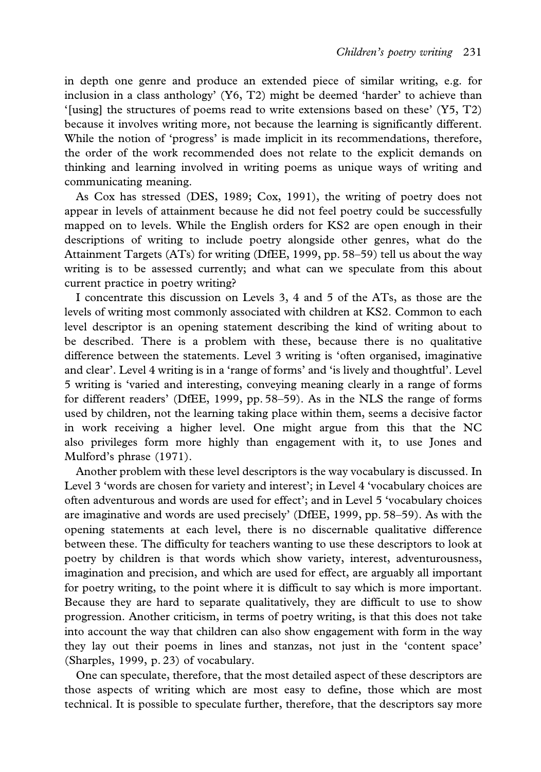in depth one genre and produce an extended piece of similar writing, e.g. for inclusion in a class anthology' (Y6, T2) might be deemed 'harder' to achieve than '[using] the structures of poems read to write extensions based on these'  $(Y5, T2)$ because it involves writing more, not because the learning is significantly different. While the notion of 'progress' is made implicit in its recommendations, therefore, the order of the work recommended does not relate to the explicit demands on thinking and learning involved in writing poems as unique ways of writing and communicating meaning.

As Cox has stressed (DES, 1989; Cox, 1991), the writing of poetry does not appear in levels of attainment because he did not feel poetry could be successfully mapped on to levels. While the English orders for KS2 are open enough in their descriptions of writing to include poetry alongside other genres, what do the Attainment Targets (ATs) for writing (DfEE, 1999, pp. 58–59) tell us about the way writing is to be assessed currently; and what can we speculate from this about current practice in poetry writing?

I concentrate this discussion on Levels 3, 4 and 5 of the ATs, as those are the levels of writing most commonly associated with children at KS2. Common to each level descriptor is an opening statement describing the kind of writing about to be described. There is a problem with these, because there is no qualitative difference between the statements. Level 3 writing is 'often organised, imaginative and clear'. Level 4 writing is in a 'range of forms' and 'is lively and thoughtful'. Level 5 writing is 'varied and interesting, conveying meaning clearly in a range of forms for different readers' (DfEE, 1999, pp. 58–59). As in the NLS the range of forms used by children, not the learning taking place within them, seems a decisive factor in work receiving a higher level. One might argue from this that the NC also privileges form more highly than engagement with it, to use Jones and Mulford's phrase (1971).

Another problem with these level descriptors is the way vocabulary is discussed. In Level 3 'words are chosen for variety and interest'; in Level 4 'vocabulary choices are often adventurous and words are used for effect'; and in Level 5 'vocabulary choices are imaginative and words are used precisely' (DfEE, 1999, pp. 58–59). As with the opening statements at each level, there is no discernable qualitative difference between these. The difficulty for teachers wanting to use these descriptors to look at poetry by children is that words which show variety, interest, adventurousness, imagination and precision, and which are used for effect, are arguably all important for poetry writing, to the point where it is difficult to say which is more important. Because they are hard to separate qualitatively, they are difficult to use to show progression. Another criticism, in terms of poetry writing, is that this does not take into account the way that children can also show engagement with form in the way they lay out their poems in lines and stanzas, not just in the 'content space' (Sharples, 1999, p. 23) of vocabulary.

One can speculate, therefore, that the most detailed aspect of these descriptors are those aspects of writing which are most easy to define, those which are most technical. It is possible to speculate further, therefore, that the descriptors say more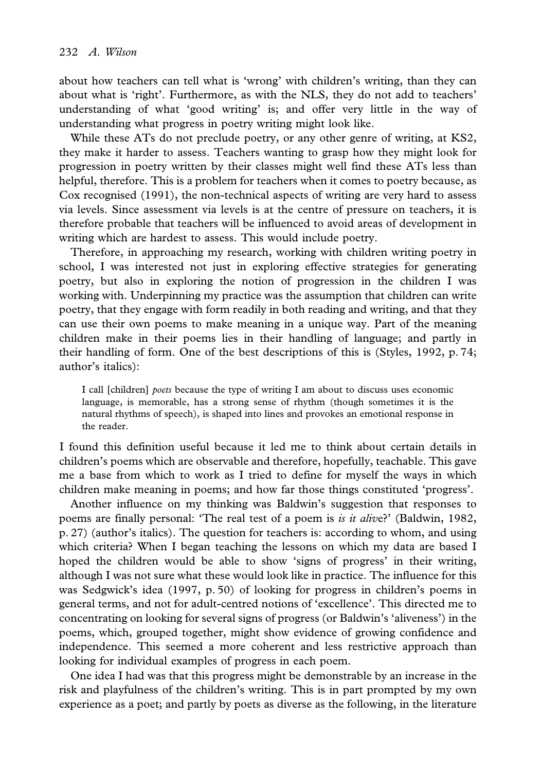about how teachers can tell what is 'wrong' with children's writing, than they can about what is 'right'. Furthermore, as with the NLS, they do not add to teachers' understanding of what 'good writing' is; and offer very little in the way of understanding what progress in poetry writing might look like.

While these ATs do not preclude poetry, or any other genre of writing, at KS2, they make it harder to assess. Teachers wanting to grasp how they might look for progression in poetry written by their classes might well find these ATs less than helpful, therefore. This is a problem for teachers when it comes to poetry because, as Cox recognised (1991), the non-technical aspects of writing are very hard to assess via levels. Since assessment via levels is at the centre of pressure on teachers, it is therefore probable that teachers will be influenced to avoid areas of development in writing which are hardest to assess. This would include poetry.

Therefore, in approaching my research, working with children writing poetry in school, I was interested not just in exploring effective strategies for generating poetry, but also in exploring the notion of progression in the children I was working with. Underpinning my practice was the assumption that children can write poetry, that they engage with form readily in both reading and writing, and that they can use their own poems to make meaning in a unique way. Part of the meaning children make in their poems lies in their handling of language; and partly in their handling of form. One of the best descriptions of this is (Styles, 1992, p. 74; author's italics):

I call [children] *poets* because the type of writing I am about to discuss uses economic language, is memorable, has a strong sense of rhythm (though sometimes it is the natural rhythms of speech), is shaped into lines and provokes an emotional response in the reader.

I found this definition useful because it led me to think about certain details in children's poems which are observable and therefore, hopefully, teachable. This gave me a base from which to work as I tried to define for myself the ways in which children make meaning in poems; and how far those things constituted 'progress'.

Another influence on my thinking was Baldwin's suggestion that responses to poems are finally personal: 'The real test of a poem is is it alive?' (Baldwin, 1982, p. 27) (author's italics). The question for teachers is: according to whom, and using which criteria? When I began teaching the lessons on which my data are based I hoped the children would be able to show 'signs of progress' in their writing, although I was not sure what these would look like in practice. The influence for this was Sedgwick's idea (1997, p. 50) of looking for progress in children's poems in general terms, and not for adult-centred notions of 'excellence'. This directed me to concentrating on looking for several signs of progress (or Baldwin's 'aliveness') in the poems, which, grouped together, might show evidence of growing confidence and independence. This seemed a more coherent and less restrictive approach than looking for individual examples of progress in each poem.

One idea I had was that this progress might be demonstrable by an increase in the risk and playfulness of the children's writing. This is in part prompted by my own experience as a poet; and partly by poets as diverse as the following, in the literature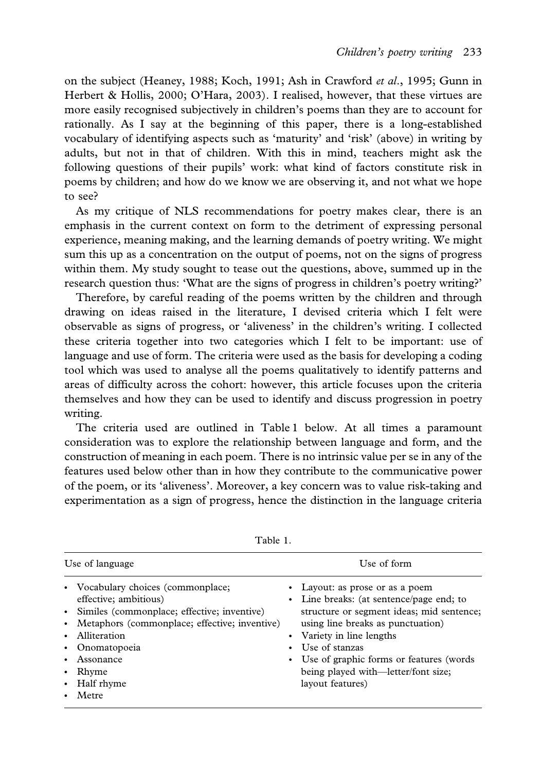on the subject (Heaney, 1988; Koch, 1991; Ash in Crawford et al., 1995; Gunn in Herbert & Hollis, 2000; O'Hara, 2003). I realised, however, that these virtues are more easily recognised subjectively in children's poems than they are to account for rationally. As I say at the beginning of this paper, there is a long-established vocabulary of identifying aspects such as 'maturity' and 'risk' (above) in writing by adults, but not in that of children. With this in mind, teachers might ask the following questions of their pupils' work: what kind of factors constitute risk in poems by children; and how do we know we are observing it, and not what we hope to see?

As my critique of NLS recommendations for poetry makes clear, there is an emphasis in the current context on form to the detriment of expressing personal experience, meaning making, and the learning demands of poetry writing. We might sum this up as a concentration on the output of poems, not on the signs of progress within them. My study sought to tease out the questions, above, summed up in the research question thus: 'What are the signs of progress in children's poetry writing?'

Therefore, by careful reading of the poems written by the children and through drawing on ideas raised in the literature, I devised criteria which I felt were observable as signs of progress, or 'aliveness' in the children's writing. I collected these criteria together into two categories which I felt to be important: use of language and use of form. The criteria were used as the basis for developing a coding tool which was used to analyse all the poems qualitatively to identify patterns and areas of difficulty across the cohort: however, this article focuses upon the criteria themselves and how they can be used to identify and discuss progression in poetry writing.

The criteria used are outlined in Table 1 below. At all times a paramount consideration was to explore the relationship between language and form, and the construction of meaning in each poem. There is no intrinsic value per se in any of the features used below other than in how they contribute to the communicative power of the poem, or its 'aliveness'. Moreover, a key concern was to value risk-taking and experimentation as a sign of progress, hence the distinction in the language criteria

| Use of language                                                                                                                                                                                                                                                                     | Use of form                                                                                                                                                                                                                                                                                                                      |  |  |
|-------------------------------------------------------------------------------------------------------------------------------------------------------------------------------------------------------------------------------------------------------------------------------------|----------------------------------------------------------------------------------------------------------------------------------------------------------------------------------------------------------------------------------------------------------------------------------------------------------------------------------|--|--|
| • Vocabulary choices (commonplace;<br>effective; ambitious)<br>• Similes (commonplace; effective; inventive)<br>Metaphors (commonplace; effective; inventive)<br>$\bullet$<br>Alliteration<br>• Onomatopoeia<br>Assonance<br>Rhyme<br>$\bullet$<br>Half rhyme<br>$\bullet$<br>Metre | Layout: as prose or as a poem<br>Line breaks: (at sentence/page end; to<br>٠<br>structure or segment ideas; mid sentence;<br>using line breaks as punctuation)<br>• Variety in line lengths<br>Use of stanzas<br>Use of graphic forms or features (words<br>$\bullet$<br>being played with—letter/font size;<br>layout features) |  |  |

Table 1.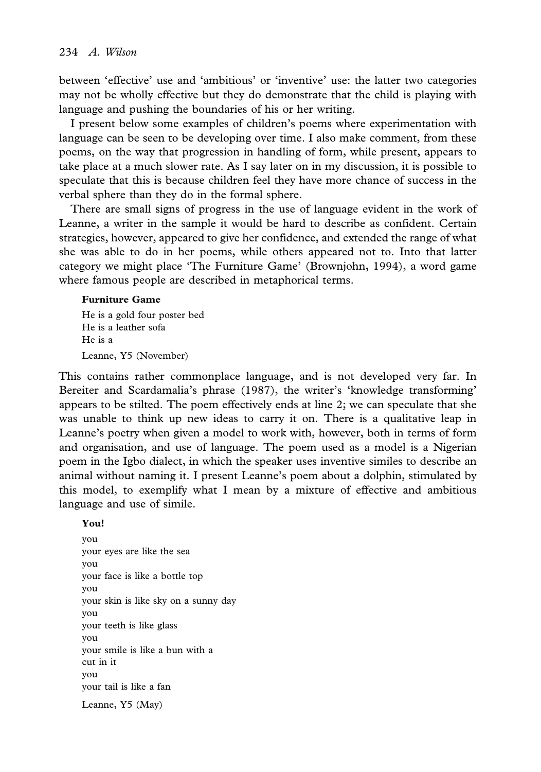between 'effective' use and 'ambitious' or 'inventive' use: the latter two categories may not be wholly effective but they do demonstrate that the child is playing with language and pushing the boundaries of his or her writing.

I present below some examples of children's poems where experimentation with language can be seen to be developing over time. I also make comment, from these poems, on the way that progression in handling of form, while present, appears to take place at a much slower rate. As I say later on in my discussion, it is possible to speculate that this is because children feel they have more chance of success in the verbal sphere than they do in the formal sphere.

There are small signs of progress in the use of language evident in the work of Leanne, a writer in the sample it would be hard to describe as confident. Certain strategies, however, appeared to give her confidence, and extended the range of what she was able to do in her poems, while others appeared not to. Into that latter category we might place 'The Furniture Game' (Brownjohn, 1994), a word game where famous people are described in metaphorical terms.

#### Furniture Game

He is a gold four poster bed He is a leather sofa He is a Leanne, Y5 (November)

This contains rather commonplace language, and is not developed very far. In Bereiter and Scardamalia's phrase (1987), the writer's 'knowledge transforming' appears to be stilted. The poem effectively ends at line 2; we can speculate that she was unable to think up new ideas to carry it on. There is a qualitative leap in Leanne's poetry when given a model to work with, however, both in terms of form and organisation, and use of language. The poem used as a model is a Nigerian poem in the Igbo dialect, in which the speaker uses inventive similes to describe an animal without naming it. I present Leanne's poem about a dolphin, stimulated by this model, to exemplify what I mean by a mixture of effective and ambitious language and use of simile.

#### You!

you your eyes are like the sea you your face is like a bottle top you your skin is like sky on a sunny day you your teeth is like glass you your smile is like a bun with a cut in it you your tail is like a fan Leanne, Y5 (May)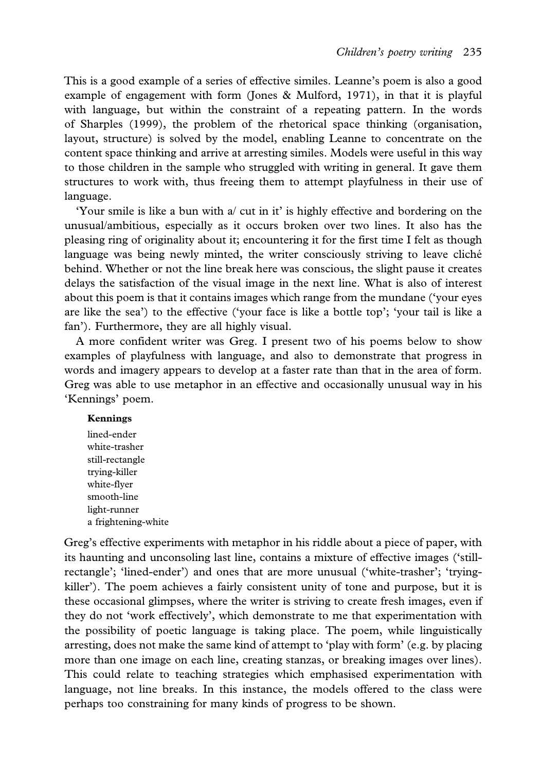This is a good example of a series of effective similes. Leanne's poem is also a good example of engagement with form (Jones & Mulford, 1971), in that it is playful with language, but within the constraint of a repeating pattern. In the words of Sharples (1999), the problem of the rhetorical space thinking (organisation, layout, structure) is solved by the model, enabling Leanne to concentrate on the content space thinking and arrive at arresting similes. Models were useful in this way to those children in the sample who struggled with writing in general. It gave them structures to work with, thus freeing them to attempt playfulness in their use of language.

'Your smile is like a bun with a/ cut in it' is highly effective and bordering on the unusual/ambitious, especially as it occurs broken over two lines. It also has the pleasing ring of originality about it; encountering it for the first time I felt as though language was being newly minted, the writer consciously striving to leave cliché behind. Whether or not the line break here was conscious, the slight pause it creates delays the satisfaction of the visual image in the next line. What is also of interest about this poem is that it contains images which range from the mundane ('your eyes are like the sea') to the effective ('your face is like a bottle top'; 'your tail is like a fan'). Furthermore, they are all highly visual.

A more confident writer was Greg. I present two of his poems below to show examples of playfulness with language, and also to demonstrate that progress in words and imagery appears to develop at a faster rate than that in the area of form. Greg was able to use metaphor in an effective and occasionally unusual way in his 'Kennings' poem.

#### Kennings

lined-ender white-trasher still-rectangle trying-killer white-flyer smooth-line light-runner a frightening-white

Greg's effective experiments with metaphor in his riddle about a piece of paper, with its haunting and unconsoling last line, contains a mixture of effective images ('stillrectangle'; 'lined-ender') and ones that are more unusual ('white-trasher'; 'tryingkiller'). The poem achieves a fairly consistent unity of tone and purpose, but it is these occasional glimpses, where the writer is striving to create fresh images, even if they do not 'work effectively', which demonstrate to me that experimentation with the possibility of poetic language is taking place. The poem, while linguistically arresting, does not make the same kind of attempt to 'play with form' (e.g. by placing more than one image on each line, creating stanzas, or breaking images over lines). This could relate to teaching strategies which emphasised experimentation with language, not line breaks. In this instance, the models offered to the class were perhaps too constraining for many kinds of progress to be shown.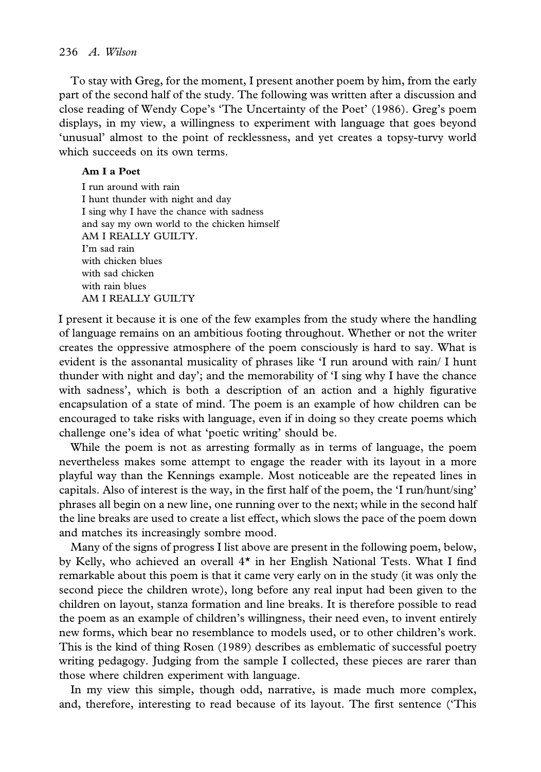To stay with Greg, for the moment, I present another poem by him, from the early part of the second half of the study. The following was written after a discussion and close reading of Wendy Cope's 'The Uncertainty of the Poet' (1986). Greg's poem displays, in my view, a willingness to experiment with language that goes beyond 'unusual' almost to the point of recklessness, and yet creates a topsy-turvy world which succeeds on its own terms.

#### Am I a Poet

I run around with rain I hunt thunder with night and day I sing why I have the chance with sadness and say my own world to the chicken himself AM I REALLY GUILTY. I'm sad rain with chicken blues with sad chicken with rain blues AM I REALLY GUILTY

I present it because it is one of the few examples from the study where the handling of language remains on an ambitious footing throughout. Whether or not the writer creates the oppressive atmosphere of the poem consciously is hard to say. What is evident is the assonantal musicality of phrases like 'I run around with rain/ I hunt thunder with night and day'; and the memorability of 'I sing why I have the chance with sadness', which is both a description of an action and a highly figurative encapsulation of a state of mind. The poem is an example of how children can be encouraged to take risks with language, even if in doing so they create poems which challenge one's idea of what 'poetic writing' should be.

While the poem is not as arresting formally as in terms of language, the poem nevertheless makes some attempt to engage the reader with its layout in a more playful way than the Kennings example. Most noticeable are the repeated lines in capitals. Also of interest is the way, in the first half of the poem, the 'I run/hunt/sing' phrases all begin on a new line, one running over to the next; while in the second half the line breaks are used to create a list effect, which slows the pace of the poem down and matches its increasingly sombre mood.

Many of the signs of progress I list above are present in the following poem, below, by Kelly, who achieved an overall 4\* in her English National Tests. What I find remarkable about this poem is that it came very early on in the study (it was only the second piece the children wrote), long before any real input had been given to the children on layout, stanza formation and line breaks. It is therefore possible to read the poem as an example of children's willingness, their need even, to invent entirely new forms, which bear no resemblance to models used, or to other children's work. This is the kind of thing Rosen (1989) describes as emblematic of successful poetry writing pedagogy. Judging from the sample I collected, these pieces are rarer than those where children experiment with language.

In my view this simple, though odd, narrative, is made much more complex, and, therefore, interesting to read because of its layout. The first sentence ('This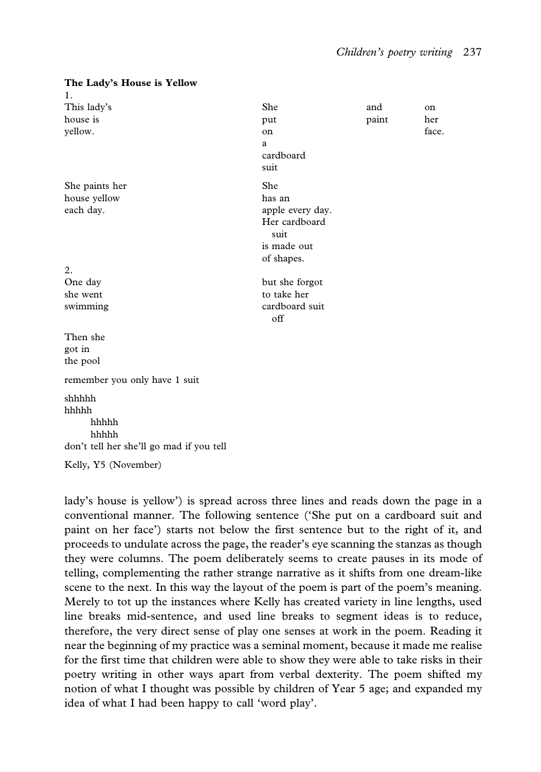| 1.                                       |                       |       |       |
|------------------------------------------|-----------------------|-------|-------|
| This lady's                              | She                   | and   | on    |
| house is                                 | put                   | paint | her   |
| yellow.                                  | on                    |       | face. |
|                                          | a                     |       |       |
|                                          | cardboard             |       |       |
|                                          | suit                  |       |       |
| She paints her                           | She                   |       |       |
| house yellow                             | has an                |       |       |
| each day.                                | apple every day.      |       |       |
|                                          | Her cardboard<br>suit |       |       |
|                                          | is made out           |       |       |
|                                          | of shapes.            |       |       |
| 2.                                       |                       |       |       |
| One day                                  | but she forgot        |       |       |
| she went                                 | to take her           |       |       |
| swimming                                 | cardboard suit<br>off |       |       |
| Then she                                 |                       |       |       |
| got in                                   |                       |       |       |
| the pool                                 |                       |       |       |
| remember you only have 1 suit            |                       |       |       |
| shhhhh                                   |                       |       |       |
| hhhhh                                    |                       |       |       |
| hhhhh                                    |                       |       |       |
| hhhhh                                    |                       |       |       |
| don't tell her she'll go mad if you tell |                       |       |       |
| Kelly, Y5 (November)                     |                       |       |       |

# The Lady's House is Yellow

lady's house is yellow') is spread across three lines and reads down the page in a conventional manner. The following sentence ('She put on a cardboard suit and paint on her face') starts not below the first sentence but to the right of it, and proceeds to undulate across the page, the reader's eye scanning the stanzas as though they were columns. The poem deliberately seems to create pauses in its mode of telling, complementing the rather strange narrative as it shifts from one dream-like scene to the next. In this way the layout of the poem is part of the poem's meaning. Merely to tot up the instances where Kelly has created variety in line lengths, used line breaks mid-sentence, and used line breaks to segment ideas is to reduce, therefore, the very direct sense of play one senses at work in the poem. Reading it near the beginning of my practice was a seminal moment, because it made me realise for the first time that children were able to show they were able to take risks in their poetry writing in other ways apart from verbal dexterity. The poem shifted my notion of what I thought was possible by children of Year 5 age; and expanded my idea of what I had been happy to call 'word play'.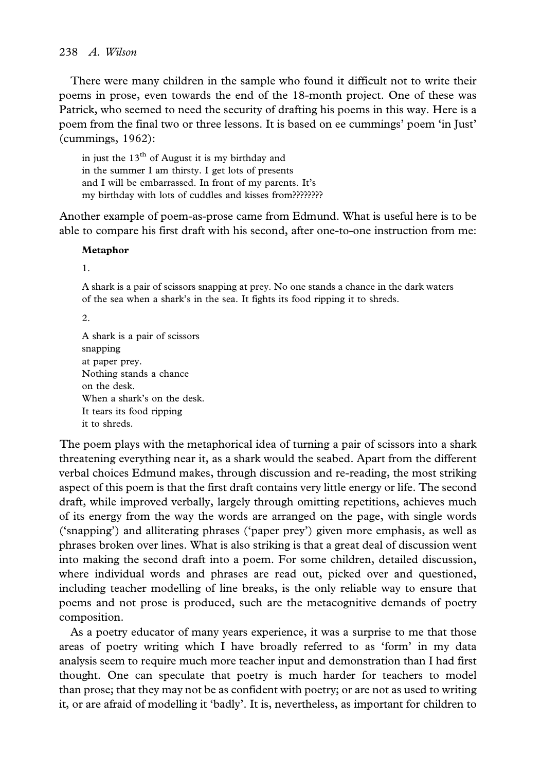# 238 A. Wilson

There were many children in the sample who found it difficult not to write their poems in prose, even towards the end of the 18-month project. One of these was Patrick, who seemed to need the security of drafting his poems in this way. Here is a poem from the final two or three lessons. It is based on ee cummings' poem 'in Just' (cummings, 1962):

in just the  $13<sup>th</sup>$  of August it is my birthday and in the summer I am thirsty. I get lots of presents and I will be embarrassed. In front of my parents. It's my birthday with lots of cuddles and kisses from????????

Another example of poem-as-prose came from Edmund. What is useful here is to be able to compare his first draft with his second, after one-to-one instruction from me:

# Metaphor

1.

A shark is a pair of scissors snapping at prey. No one stands a chance in the dark waters of the sea when a shark's in the sea. It fights its food ripping it to shreds.

2.

```
A shark is a pair of scissors
snapping
at paper prey.
Nothing stands a chance
on the desk.
When a shark's on the desk.
It tears its food ripping
it to shreds.
```
The poem plays with the metaphorical idea of turning a pair of scissors into a shark threatening everything near it, as a shark would the seabed. Apart from the different verbal choices Edmund makes, through discussion and re-reading, the most striking aspect of this poem is that the first draft contains very little energy or life. The second draft, while improved verbally, largely through omitting repetitions, achieves much of its energy from the way the words are arranged on the page, with single words ('snapping') and alliterating phrases ('paper prey') given more emphasis, as well as phrases broken over lines. What is also striking is that a great deal of discussion went into making the second draft into a poem. For some children, detailed discussion, where individual words and phrases are read out, picked over and questioned, including teacher modelling of line breaks, is the only reliable way to ensure that poems and not prose is produced, such are the metacognitive demands of poetry composition.

As a poetry educator of many years experience, it was a surprise to me that those areas of poetry writing which I have broadly referred to as 'form' in my data analysis seem to require much more teacher input and demonstration than I had first thought. One can speculate that poetry is much harder for teachers to model than prose; that they may not be as confident with poetry; or are not as used to writing it, or are afraid of modelling it 'badly'. It is, nevertheless, as important for children to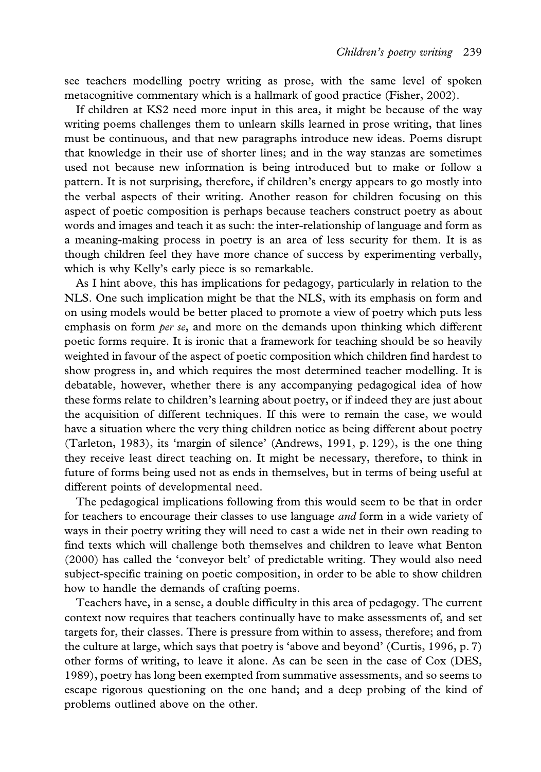see teachers modelling poetry writing as prose, with the same level of spoken metacognitive commentary which is a hallmark of good practice (Fisher, 2002).

If children at KS2 need more input in this area, it might be because of the way writing poems challenges them to unlearn skills learned in prose writing, that lines must be continuous, and that new paragraphs introduce new ideas. Poems disrupt that knowledge in their use of shorter lines; and in the way stanzas are sometimes used not because new information is being introduced but to make or follow a pattern. It is not surprising, therefore, if children's energy appears to go mostly into the verbal aspects of their writing. Another reason for children focusing on this aspect of poetic composition is perhaps because teachers construct poetry as about words and images and teach it as such: the inter-relationship of language and form as a meaning-making process in poetry is an area of less security for them. It is as though children feel they have more chance of success by experimenting verbally, which is why Kelly's early piece is so remarkable.

As I hint above, this has implications for pedagogy, particularly in relation to the NLS. One such implication might be that the NLS, with its emphasis on form and on using models would be better placed to promote a view of poetry which puts less emphasis on form *per se*, and more on the demands upon thinking which different poetic forms require. It is ironic that a framework for teaching should be so heavily weighted in favour of the aspect of poetic composition which children find hardest to show progress in, and which requires the most determined teacher modelling. It is debatable, however, whether there is any accompanying pedagogical idea of how these forms relate to children's learning about poetry, or if indeed they are just about the acquisition of different techniques. If this were to remain the case, we would have a situation where the very thing children notice as being different about poetry (Tarleton, 1983), its 'margin of silence' (Andrews, 1991, p. 129), is the one thing they receive least direct teaching on. It might be necessary, therefore, to think in future of forms being used not as ends in themselves, but in terms of being useful at different points of developmental need.

The pedagogical implications following from this would seem to be that in order for teachers to encourage their classes to use language *and* form in a wide variety of ways in their poetry writing they will need to cast a wide net in their own reading to find texts which will challenge both themselves and children to leave what Benton (2000) has called the 'conveyor belt' of predictable writing. They would also need subject-specific training on poetic composition, in order to be able to show children how to handle the demands of crafting poems.

Teachers have, in a sense, a double difficulty in this area of pedagogy. The current context now requires that teachers continually have to make assessments of, and set targets for, their classes. There is pressure from within to assess, therefore; and from the culture at large, which says that poetry is 'above and beyond' (Curtis, 1996, p. 7) other forms of writing, to leave it alone. As can be seen in the case of Cox (DES, 1989), poetry has long been exempted from summative assessments, and so seems to escape rigorous questioning on the one hand; and a deep probing of the kind of problems outlined above on the other.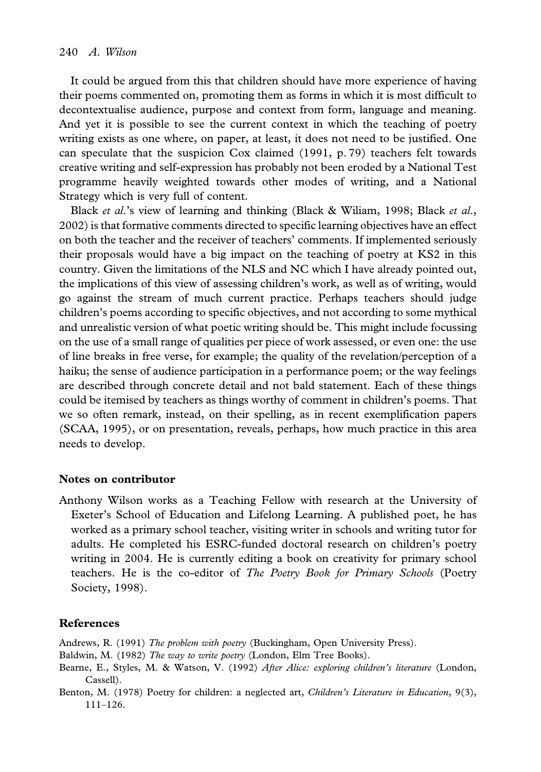It could be argued from this that children should have more experience of having their poems commented on, promoting them as forms in which it is most difficult to decontextualise audience, purpose and context from form, language and meaning. And yet it is possible to see the current context in which the teaching of poetry writing exists as one where, on paper, at least, it does not need to be justified. One can speculate that the suspicion Cox claimed (1991, p. 79) teachers felt towards creative writing and self-expression has probably not been eroded by a National Test programme heavily weighted towards other modes of writing, and a National Strategy which is very full of content.

Black et al.'s view of learning and thinking (Black & Wiliam, 1998; Black et al., 2002) is that formative comments directed to specific learning objectives have an effect on both the teacher and the receiver of teachers' comments. If implemented seriously their proposals would have a big impact on the teaching of poetry at KS2 in this country. Given the limitations of the NLS and NC which I have already pointed out, the implications of this view of assessing children's work, as well as of writing, would go against the stream of much current practice. Perhaps teachers should judge children's poems according to specific objectives, and not according to some mythical and unrealistic version of what poetic writing should be. This might include focussing on the use of a small range of qualities per piece of work assessed, or even one: the use of line breaks in free verse, for example; the quality of the revelation/perception of a haiku; the sense of audience participation in a performance poem; or the way feelings are described through concrete detail and not bald statement. Each of these things could be itemised by teachers as things worthy of comment in children's poems. That we so often remark, instead, on their spelling, as in recent exemplification papers (SCAA, 1995), or on presentation, reveals, perhaps, how much practice in this area needs to develop.

# Notes on contributor

Anthony Wilson works as a Teaching Fellow with research at the University of Exeter's School of Education and Lifelong Learning. A published poet, he has worked as a primary school teacher, visiting writer in schools and writing tutor for adults. He completed his ESRC-funded doctoral research on children's poetry writing in 2004. He is currently editing a book on creativity for primary school teachers. He is the co-editor of The Poetry Book for Primary Schools (Poetry Society, 1998).

# References

Andrews, R. (1991) The problem with poetry (Buckingham, Open University Press).

- Baldwin, M. (1982) The way to write poetry (London, Elm Tree Books).
- Bearne, E., Styles, M. & Watson, V. (1992) After Alice: exploring children's literature (London, Cassell).
- Benton, M. (1978) Poetry for children: a neglected art, Children's Literature in Education, 9(3), 111–126.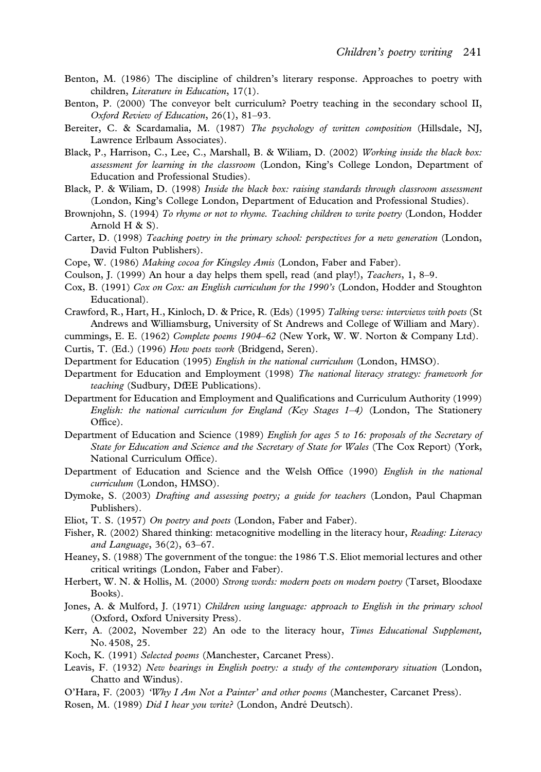- Benton, M. (1986) The discipline of children's literary response. Approaches to poetry with children, Literature in Education, 17(1).
- Benton, P. (2000) The conveyor belt curriculum? Poetry teaching in the secondary school II, Oxford Review of Education, 26(1), 81–93.
- Bereiter, C. & Scardamalia, M. (1987) The psychology of written composition (Hillsdale, NJ, Lawrence Erlbaum Associates).
- Black, P., Harrison, C., Lee, C., Marshall, B. & Wiliam, D. (2002) Working inside the black box: assessment for learning in the classroom (London, King's College London, Department of Education and Professional Studies).
- Black, P. & Wiliam, D. (1998) Inside the black box: raising standards through classroom assessment (London, King's College London, Department of Education and Professional Studies).
- Brownjohn, S. (1994) To rhyme or not to rhyme. Teaching children to write poetry (London, Hodder Arnold H  $&$  S).
- Carter, D. (1998) Teaching poetry in the primary school: perspectives for a new generation (London, David Fulton Publishers).
- Cope, W. (1986) Making cocoa for Kingsley Amis (London, Faber and Faber).
- Coulson, J. (1999) An hour a day helps them spell, read (and play!), Teachers, 1, 8–9.
- Cox, B. (1991) Cox on Cox: an English curriculum for the 1990's (London, Hodder and Stoughton Educational).
- Crawford, R., Hart, H., Kinloch, D. & Price, R. (Eds) (1995) Talking verse: interviews with poets (St Andrews and Williamsburg, University of St Andrews and College of William and Mary).
- cummings, E. E. (1962) Complete poems 1904–62 (New York, W. W. Norton & Company Ltd).
- Curtis, T. (Ed.) (1996) How poets work (Bridgend, Seren).
- Department for Education (1995) English in the national curriculum (London, HMSO).
- Department for Education and Employment (1998) The national literacy strategy: framework for teaching (Sudbury, DfEE Publications).
- Department for Education and Employment and Qualifications and Curriculum Authority (1999) English: the national curriculum for England (Key Stages  $1-4$ ) (London, The Stationery Office).
- Department of Education and Science (1989) English for ages 5 to 16: proposals of the Secretary of State for Education and Science and the Secretary of State for Wales (The Cox Report) (York, National Curriculum Office).
- Department of Education and Science and the Welsh Office (1990) English in the national curriculum (London, HMSO).
- Dymoke, S. (2003) Drafting and assessing poetry; a guide for teachers (London, Paul Chapman Publishers).
- Eliot, T. S. (1957) On poetry and poets (London, Faber and Faber).
- Fisher, R. (2002) Shared thinking: metacognitive modelling in the literacy hour, *Reading: Literacy* and Language, 36(2), 63–67.
- Heaney, S. (1988) The government of the tongue: the 1986 T.S. Eliot memorial lectures and other critical writings (London, Faber and Faber).
- Herbert, W. N. & Hollis, M. (2000) Strong words: modern poets on modern poetry (Tarset, Bloodaxe Books).
- Jones, A. & Mulford, J. (1971) Children using language: approach to English in the primary school (Oxford, Oxford University Press).
- Kerr, A. (2002, November 22) An ode to the literacy hour, Times Educational Supplement, No. 4508, 25.
- Koch, K. (1991) Selected poems (Manchester, Carcanet Press).
- Leavis, F. (1932) New bearings in English poetry: a study of the contemporary situation (London, Chatto and Windus).
- O'Hara, F. (2003) 'Why I Am Not a Painter' and other poems (Manchester, Carcanet Press).
- Rosen, M. (1989) Did I hear you write? (London, André Deutsch).